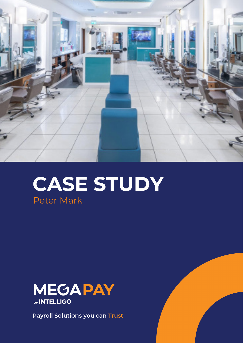

# **CASE STUDY** Peter Mark



**Payroll Solutions you can Trust**